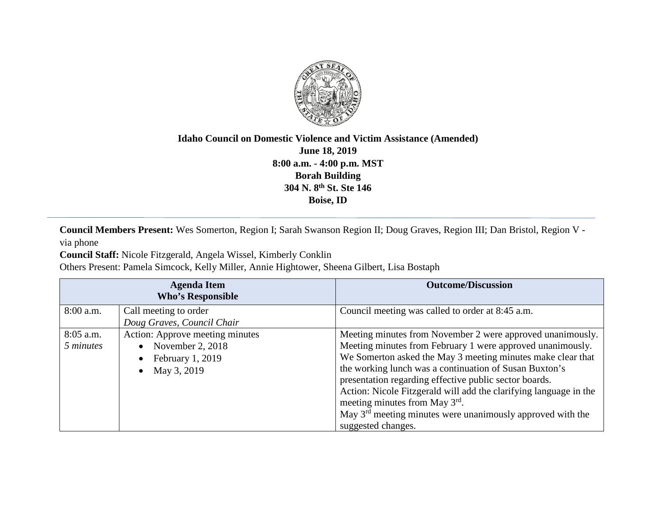

## **Idaho Council on Domestic Violence and Victim Assistance (Amended) June 18, 2019 8:00 a.m. - 4:00 p.m. MST Borah Building 304 N. 8th St. Ste 146 Boise, ID**

**Council Members Present:** Wes Somerton, Region I; Sarah Swanson Region II; Doug Graves, Region III; Dan Bristol, Region V via phone

**Council Staff:** Nicole Fitzgerald, Angela Wissel, Kimberly Conklin

Others Present: Pamela Simcock, Kelly Miller, Annie Hightower, Sheena Gilbert, Lisa Bostaph

| <b>Agenda Item</b><br><b>Who's Responsible</b> |                                                                                                                  | <b>Outcome/Discussion</b>                                                                                                                                                                                                                                                                                                                                                                                                                                                                                            |
|------------------------------------------------|------------------------------------------------------------------------------------------------------------------|----------------------------------------------------------------------------------------------------------------------------------------------------------------------------------------------------------------------------------------------------------------------------------------------------------------------------------------------------------------------------------------------------------------------------------------------------------------------------------------------------------------------|
| 8:00 a.m.                                      | Call meeting to order<br>Doug Graves, Council Chair                                                              | Council meeting was called to order at 8:45 a.m.                                                                                                                                                                                                                                                                                                                                                                                                                                                                     |
| 8:05 a.m.<br>5 minutes                         | Action: Approve meeting minutes<br>November 2, 2018<br>$\bullet$<br>February 1, 2019<br>May 3, 2019<br>$\bullet$ | Meeting minutes from November 2 were approved unanimously.<br>Meeting minutes from February 1 were approved unanimously.<br>We Somerton asked the May 3 meeting minutes make clear that<br>the working lunch was a continuation of Susan Buxton's<br>presentation regarding effective public sector boards.<br>Action: Nicole Fitzgerald will add the clarifying language in the<br>meeting minutes from May 3 <sup>rd</sup> .<br>May $3rd$ meeting minutes were unanimously approved with the<br>suggested changes. |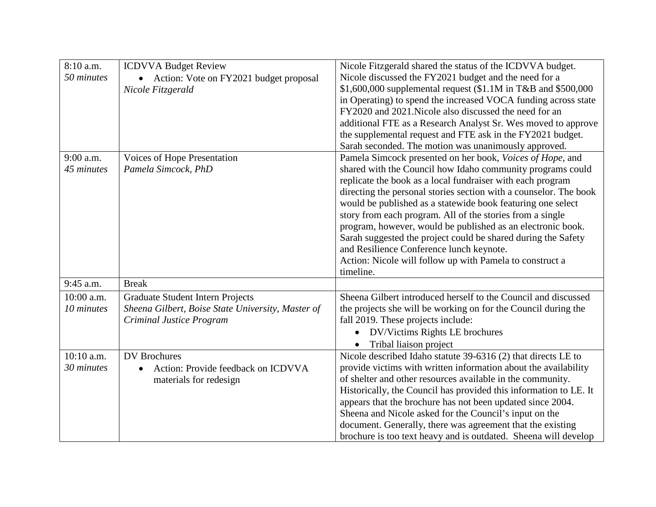| 8:10 a.m.    | <b>ICDVVA Budget Review</b>                       | Nicole Fitzgerald shared the status of the ICDVVA budget.         |
|--------------|---------------------------------------------------|-------------------------------------------------------------------|
| 50 minutes   | • Action: Vote on FY2021 budget proposal          | Nicole discussed the FY2021 budget and the need for a             |
|              | Nicole Fitzgerald                                 | $$1,600,000$ supplemental request (\$1.1M in T&B and \$500,000    |
|              |                                                   | in Operating) to spend the increased VOCA funding across state    |
|              |                                                   | FY2020 and 2021. Nicole also discussed the need for an            |
|              |                                                   | additional FTE as a Research Analyst Sr. Wes moved to approve     |
|              |                                                   | the supplemental request and FTE ask in the FY2021 budget.        |
|              |                                                   | Sarah seconded. The motion was unanimously approved.              |
| 9:00 a.m.    | Voices of Hope Presentation                       | Pamela Simcock presented on her book, Voices of Hope, and         |
| 45 minutes   | Pamela Simcock, PhD                               | shared with the Council how Idaho community programs could        |
|              |                                                   | replicate the book as a local fundraiser with each program        |
|              |                                                   | directing the personal stories section with a counselor. The book |
|              |                                                   | would be published as a statewide book featuring one select       |
|              |                                                   | story from each program. All of the stories from a single         |
|              |                                                   | program, however, would be published as an electronic book.       |
|              |                                                   | Sarah suggested the project could be shared during the Safety     |
|              |                                                   | and Resilience Conference lunch keynote.                          |
|              |                                                   | Action: Nicole will follow up with Pamela to construct a          |
|              |                                                   | timeline.                                                         |
| 9:45 a.m.    | <b>Break</b>                                      |                                                                   |
| 10:00 a.m.   | <b>Graduate Student Intern Projects</b>           | Sheena Gilbert introduced herself to the Council and discussed    |
| 10 minutes   | Sheena Gilbert, Boise State University, Master of | the projects she will be working on for the Council during the    |
|              | Criminal Justice Program                          | fall 2019. These projects include:                                |
|              |                                                   | DV/Victims Rights LE brochures<br>$\bullet$                       |
|              |                                                   | Tribal liaison project                                            |
| $10:10$ a.m. | <b>DV</b> Brochures                               | Nicole described Idaho statute 39-6316 (2) that directs LE to     |
| 30 minutes   | Action: Provide feedback on ICDVVA<br>$\bullet$   | provide victims with written information about the availability   |
|              | materials for redesign                            | of shelter and other resources available in the community.        |
|              |                                                   | Historically, the Council has provided this information to LE. It |
|              |                                                   | appears that the brochure has not been updated since 2004.        |
|              |                                                   | Sheena and Nicole asked for the Council's input on the            |
|              |                                                   | document. Generally, there was agreement that the existing        |
|              |                                                   | brochure is too text heavy and is outdated. Sheena will develop   |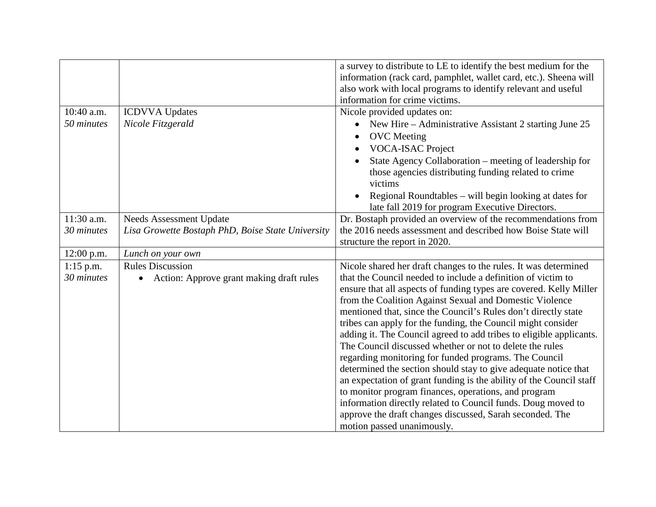|              |                                                   | a survey to distribute to LE to identify the best medium for the    |
|--------------|---------------------------------------------------|---------------------------------------------------------------------|
|              |                                                   | information (rack card, pamphlet, wallet card, etc.). Sheena will   |
|              |                                                   | also work with local programs to identify relevant and useful       |
|              |                                                   | information for crime victims.                                      |
| 10:40 a.m.   | <b>ICDVVA</b> Updates                             | Nicole provided updates on:                                         |
| 50 minutes   | Nicole Fitzgerald                                 | New Hire – Administrative Assistant 2 starting June 25              |
|              |                                                   | <b>OVC</b> Meeting                                                  |
|              |                                                   | VOCA-ISAC Project                                                   |
|              |                                                   | State Agency Collaboration – meeting of leadership for              |
|              |                                                   | those agencies distributing funding related to crime                |
|              |                                                   | victims                                                             |
|              |                                                   | Regional Roundtables – will begin looking at dates for              |
|              |                                                   | late fall 2019 for program Executive Directors.                     |
| 11:30 a.m.   | Needs Assessment Update                           | Dr. Bostaph provided an overview of the recommendations from        |
| 30 minutes   | Lisa Growette Bostaph PhD, Boise State University | the 2016 needs assessment and described how Boise State will        |
|              |                                                   | structure the report in 2020.                                       |
| $12:00$ p.m. | Lunch on your own                                 |                                                                     |
| $1:15$ p.m.  | <b>Rules Discussion</b>                           | Nicole shared her draft changes to the rules. It was determined     |
| 30 minutes   | Action: Approve grant making draft rules<br>٠     | that the Council needed to include a definition of victim to        |
|              |                                                   | ensure that all aspects of funding types are covered. Kelly Miller  |
|              |                                                   | from the Coalition Against Sexual and Domestic Violence             |
|              |                                                   | mentioned that, since the Council's Rules don't directly state      |
|              |                                                   | tribes can apply for the funding, the Council might consider        |
|              |                                                   | adding it. The Council agreed to add tribes to eligible applicants. |
|              |                                                   | The Council discussed whether or not to delete the rules            |
|              |                                                   | regarding monitoring for funded programs. The Council               |
|              |                                                   | determined the section should stay to give adequate notice that     |
|              |                                                   | an expectation of grant funding is the ability of the Council staff |
|              |                                                   | to monitor program finances, operations, and program                |
|              |                                                   | information directly related to Council funds. Doug moved to        |
|              |                                                   | approve the draft changes discussed, Sarah seconded. The            |
|              |                                                   | motion passed unanimously.                                          |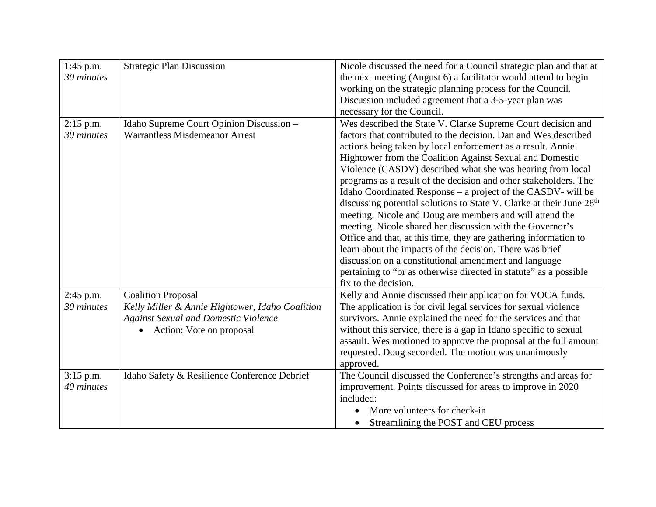| $1:45$ p.m. | <b>Strategic Plan Discussion</b>                | Nicole discussed the need for a Council strategic plan and that at               |
|-------------|-------------------------------------------------|----------------------------------------------------------------------------------|
| 30 minutes  |                                                 | the next meeting (August 6) a facilitator would attend to begin                  |
|             |                                                 | working on the strategic planning process for the Council.                       |
|             |                                                 | Discussion included agreement that a 3-5-year plan was                           |
|             |                                                 | necessary for the Council.                                                       |
| $2:15$ p.m. | Idaho Supreme Court Opinion Discussion -        | Wes described the State V. Clarke Supreme Court decision and                     |
| 30 minutes  | <b>Warrantless Misdemeanor Arrest</b>           | factors that contributed to the decision. Dan and Wes described                  |
|             |                                                 | actions being taken by local enforcement as a result. Annie                      |
|             |                                                 | Hightower from the Coalition Against Sexual and Domestic                         |
|             |                                                 | Violence (CASDV) described what she was hearing from local                       |
|             |                                                 | programs as a result of the decision and other stakeholders. The                 |
|             |                                                 | Idaho Coordinated Response – a project of the CASDV- will be                     |
|             |                                                 | discussing potential solutions to State V. Clarke at their June 28 <sup>th</sup> |
|             |                                                 | meeting. Nicole and Doug are members and will attend the                         |
|             |                                                 | meeting. Nicole shared her discussion with the Governor's                        |
|             |                                                 | Office and that, at this time, they are gathering information to                 |
|             |                                                 | learn about the impacts of the decision. There was brief                         |
|             |                                                 | discussion on a constitutional amendment and language                            |
|             |                                                 | pertaining to "or as otherwise directed in statute" as a possible                |
|             |                                                 | fix to the decision.                                                             |
| 2:45 p.m.   | <b>Coalition Proposal</b>                       | Kelly and Annie discussed their application for VOCA funds.                      |
| 30 minutes  | Kelly Miller & Annie Hightower, Idaho Coalition | The application is for civil legal services for sexual violence                  |
|             | <b>Against Sexual and Domestic Violence</b>     | survivors. Annie explained the need for the services and that                    |
|             | Action: Vote on proposal                        | without this service, there is a gap in Idaho specific to sexual                 |
|             |                                                 | assault. Wes motioned to approve the proposal at the full amount                 |
|             |                                                 | requested. Doug seconded. The motion was unanimously                             |
|             |                                                 | approved.                                                                        |
| $3:15$ p.m. | Idaho Safety & Resilience Conference Debrief    | The Council discussed the Conference's strengths and areas for                   |
| 40 minutes  |                                                 | improvement. Points discussed for areas to improve in 2020                       |
|             |                                                 | included:                                                                        |
|             |                                                 | More volunteers for check-in                                                     |
|             |                                                 | Streamlining the POST and CEU process                                            |